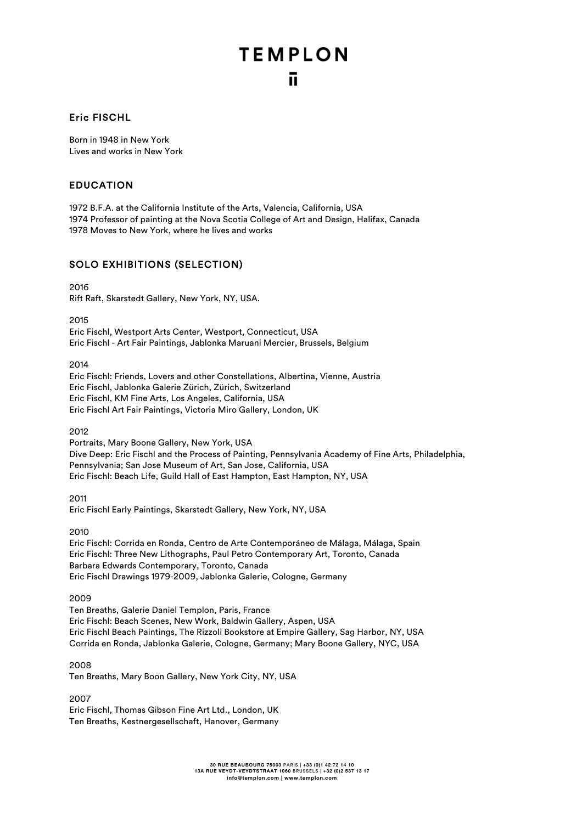#### Eric FISCHL

Born in 1948 in New York Lives and works in New York

#### EDUCATION

1972 B.F.A. at the California Institute of the Arts, Valencia, California, USA 1974 Professor of painting at the Nova Scotia College of Art and Design, Halifax, Canada 1978 Moves to New York, where he lives and works

#### SOLO EXHIBITIONS (SELECTION)

2016 Rift Raft, Skarstedt Gallery, New York, NY, USA.

2015

Eric Fischl, Westport Arts Center, Westport, Connecticut, USA Eric Fischl - Art Fair Paintings, Jablonka Maruani Mercier, Brussels, Belgium

2014

Eric Fischl: Friends, Lovers and other Constellations, Albertina, Vienne, Austria Eric Fischl, Jablonka Galerie Zürich, Zürich, Switzerland Eric Fischl, KM Fine Arts, Los Angeles, California, USA Eric Fischl Art Fair Paintings, Victoria Miro Gallery, London, UK

2012

Portraits, Mary Boone Gallery, New York, USA Dive Deep: Eric Fischl and the Process of Painting, Pennsylvania Academy of Fine Arts, Philadelphia, Pennsylvania; San Jose Museum of Art, San Jose, California, USA Eric Fischl: Beach Life, Guild Hall of East Hampton, East Hampton, NY, USA

2011 Eric Fischl Early Paintings, Skarstedt Gallery, New York, NY, USA

2010

Eric Fischl: Corrida en Ronda, Centro de Arte Contemporáneo de Málaga, Málaga, Spain Eric Fischl: Three New Lithographs, Paul Petro Contemporary Art, Toronto, Canada Barbara Edwards Contemporary, Toronto, Canada Eric Fischl Drawings 1979-2009, Jablonka Galerie, Cologne, Germany

2009

Ten Breaths, Galerie Daniel Templon, Paris, France Eric Fischl: Beach Scenes, New Work, Baldwin Gallery, Aspen, USA Eric Fischl Beach Paintings, The Rizzoli Bookstore at Empire Gallery, Sag Harbor, NY, USA Corrida en Ronda, Jablonka Galerie, Cologne, Germany; Mary Boone Gallery, NYC, USA

2008

Ten Breaths, Mary Boon Gallery, New York City, NY, USA

2007 Eric Fischl, Thomas Gibson Fine Art Ltd., London, UK Ten Breaths, Kestnergesellschaft, Hanover, Germany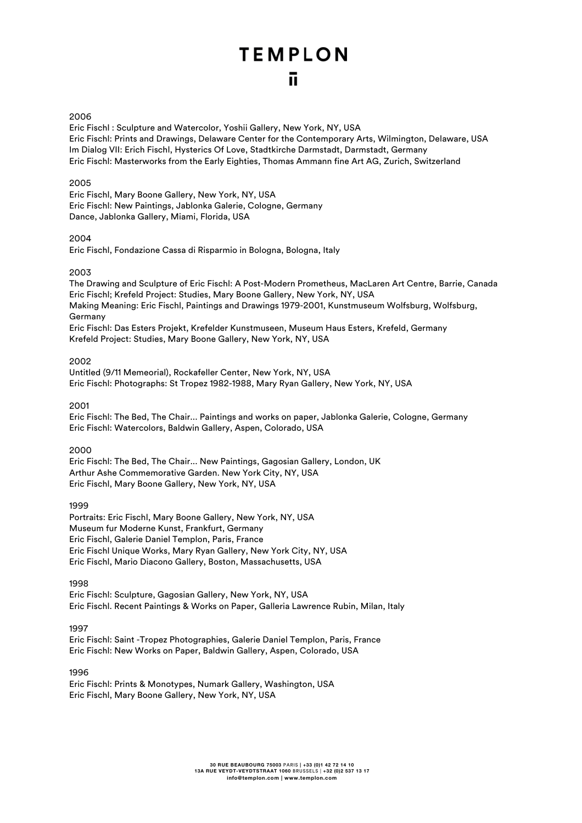#### 2006

Eric Fischl : Sculpture and Watercolor, Yoshii Gallery, New York, NY, USA Eric Fischl: Prints and Drawings, Delaware Center for the Contemporary Arts, Wilmington, Delaware, USA Im Dialog VII: Erich Fischl, Hysterics Of Love, Stadtkirche Darmstadt, Darmstadt, Germany Eric Fischl: Masterworks from the Early Eighties, Thomas Ammann fine Art AG, Zurich, Switzerland

#### 2005

Eric Fischl, Mary Boone Gallery, New York, NY, USA Eric Fischl: New Paintings, Jablonka Galerie, Cologne, Germany Dance, Jablonka Gallery, Miami, Florida, USA

#### 2004

Eric Fischl, Fondazione Cassa di Risparmio in Bologna, Bologna, Italy

#### 2003

The Drawing and Sculpture of Eric Fischl: A Post-Modern Prometheus, MacLaren Art Centre, Barrie, Canada Eric Fischl; Krefeld Project: Studies, Mary Boone Gallery, New York, NY, USA Making Meaning: Eric Fischl, Paintings and Drawings 1979-2001, Kunstmuseum Wolfsburg, Wolfsburg, Germany Eric Fischl: Das Esters Projekt, Krefelder Kunstmuseen, Museum Haus Esters, Krefeld, Germany Krefeld Project: Studies, Mary Boone Gallery, New York, NY, USA

#### 2002

Untitled (9/11 Memeorial), Rockafeller Center, New York, NY, USA Eric Fischl: Photographs: St Tropez 1982-1988, Mary Ryan Gallery, New York, NY, USA

2001

Eric Fischl: The Bed, The Chair... Paintings and works on paper, Jablonka Galerie, Cologne, Germany Eric Fischl: Watercolors, Baldwin Gallery, Aspen, Colorado, USA

2000

Eric Fischl: The Bed, The Chair... New Paintings, Gagosian Gallery, London, UK Arthur Ashe Commemorative Garden. New York City, NY, USA Eric Fischl, Mary Boone Gallery, New York, NY, USA

1999

Portraits: Eric Fischl, Mary Boone Gallery, New York, NY, USA Museum fur Moderne Kunst, Frankfurt, Germany Eric Fischl, Galerie Daniel Templon, Paris, France Eric Fischl Unique Works, Mary Ryan Gallery, New York City, NY, USA Eric Fischl, Mario Diacono Gallery, Boston, Massachusetts, USA

1998

Eric Fischl: Sculpture, Gagosian Gallery, New York, NY, USA Eric Fischl. Recent Paintings & Works on Paper, Galleria Lawrence Rubin, Milan, Italy

1997

Eric Fischl: Saint -Tropez Photographies, Galerie Daniel Templon, Paris, France Eric Fischl: New Works on Paper, Baldwin Gallery, Aspen, Colorado, USA

1996

Eric Fischl: Prints & Monotypes, Numark Gallery, Washington, USA Eric Fischl, Mary Boone Gallery, New York, NY, USA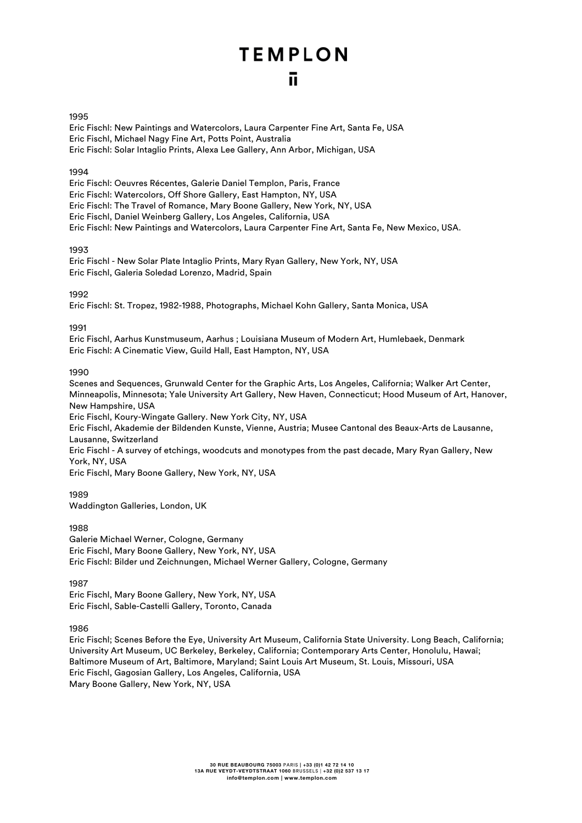#### 1995

Eric Fischl: New Paintings and Watercolors, Laura Carpenter Fine Art, Santa Fe, USA Eric Fischl, Michael Nagy Fine Art, Potts Point, Australia Eric Fischl: Solar Intaglio Prints, Alexa Lee Gallery, Ann Arbor, Michigan, USA

#### 1994

Eric Fischl: Oeuvres Récentes, Galerie Daniel Templon, Paris, France Eric Fischl: Watercolors, Off Shore Gallery, East Hampton, NY, USA Eric Fischl: The Travel of Romance, Mary Boone Gallery, New York, NY, USA Eric Fischl, Daniel Weinberg Gallery, Los Angeles, California, USA Eric Fischl: New Paintings and Watercolors, Laura Carpenter Fine Art, Santa Fe, New Mexico, USA.

#### 1993

Eric Fischl - New Solar Plate Intaglio Prints, Mary Ryan Gallery, New York, NY, USA Eric Fischl, Galeria Soledad Lorenzo, Madrid, Spain

#### 1992

Eric Fischl: St. Tropez, 1982-1988, Photographs, Michael Kohn Gallery, Santa Monica, USA

#### 1991

Eric Fischl, Aarhus Kunstmuseum, Aarhus ; Louisiana Museum of Modern Art, Humlebaek, Denmark Eric Fischl: A Cinematic View, Guild Hall, East Hampton, NY, USA

#### 1990

Scenes and Sequences, Grunwald Center for the Graphic Arts, Los Angeles, California; Walker Art Center, Minneapolis, Minnesota; Yale University Art Gallery, New Haven, Connecticut; Hood Museum of Art, Hanover, New Hampshire, USA

Eric Fischl, Koury-Wingate Gallery. New York City, NY, USA

Eric Fischl, Akademie der Bildenden Kunste, Vienne, Austria; Musee Cantonal des Beaux-Arts de Lausanne, Lausanne, Switzerland

Eric Fischl - A survey of etchings, woodcuts and monotypes from the past decade, Mary Ryan Gallery, New York, NY, USA

Eric Fischl, Mary Boone Gallery, New York, NY, USA

1989

Waddington Galleries, London, UK

1988

Galerie Michael Werner, Cologne, Germany Eric Fischl, Mary Boone Gallery, New York, NY, USA Eric Fischl: Bilder und Zeichnungen, Michael Werner Gallery, Cologne, Germany

1987

Eric Fischl, Mary Boone Gallery, New York, NY, USA Eric Fischl, Sable-Castelli Gallery, Toronto, Canada

1986

Eric Fischl; Scenes Before the Eye, University Art Museum, California State University. Long Beach, California; University Art Museum, UC Berkeley, Berkeley, California; Contemporary Arts Center, Honolulu, Hawaï; Baltimore Museum of Art, Baltimore, Maryland; Saint Louis Art Museum, St. Louis, Missouri, USA Eric Fischl, Gagosian Gallery, Los Angeles, California, USA Mary Boone Gallery, New York, NY, USA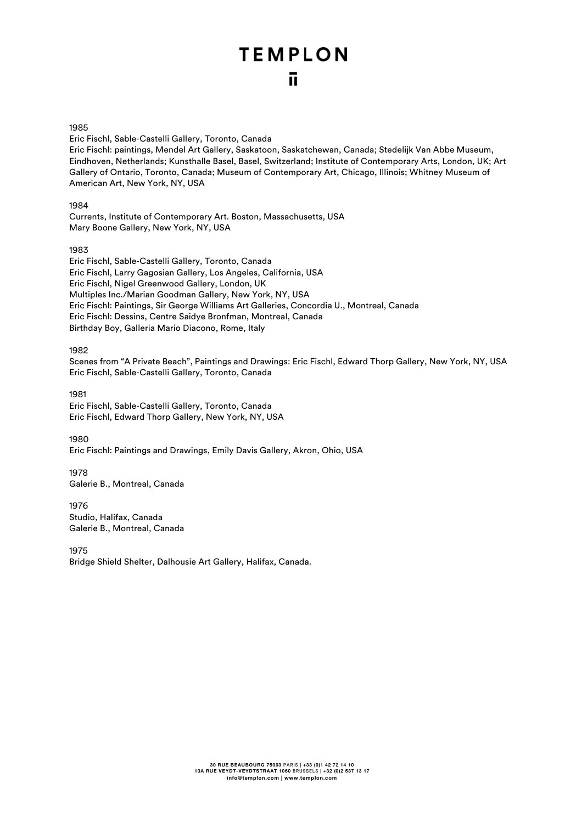#### 1985

Eric Fischl, Sable-Castelli Gallery, Toronto, Canada

Eric Fischl: paintings, Mendel Art Gallery, Saskatoon, Saskatchewan, Canada; Stedelijk Van Abbe Museum, Eindhoven, Netherlands; Kunsthalle Basel, Basel, Switzerland; Institute of Contemporary Arts, London, UK; Art Gallery of Ontario, Toronto, Canada; Museum of Contemporary Art, Chicago, Illinois; Whitney Museum of American Art, New York, NY, USA

#### 1984

Currents, Institute of Contemporary Art. Boston, Massachusetts, USA Mary Boone Gallery, New York, NY, USA

#### 1983

Eric Fischl, Sable-Castelli Gallery, Toronto, Canada Eric Fischl, Larry Gagosian Gallery, Los Angeles, California, USA Eric Fischl, Nigel Greenwood Gallery, London, UK Multiples Inc./Marian Goodman Gallery, New York, NY, USA Eric Fischl: Paintings, Sir George Williams Art Galleries, Concordia U., Montreal, Canada Eric Fischl: Dessins, Centre Saidye Bronfman, Montreal, Canada Birthday Boy, Galleria Mario Diacono, Rome, Italy

#### 1982

Scenes from "A Private Beach", Paintings and Drawings: Eric Fischl, Edward Thorp Gallery, New York, NY, USA Eric Fischl, Sable-Castelli Gallery, Toronto, Canada

1981 Eric Fischl, Sable-Castelli Gallery, Toronto, Canada Eric Fischl, Edward Thorp Gallery, New York, NY, USA

1980

Eric Fischl: Paintings and Drawings, Emily Davis Gallery, Akron, Ohio, USA

1978 Galerie B., Montreal, Canada

1976 Studio, Halifax, Canada Galerie B., Montreal, Canada

1975

Bridge Shield Shelter, Dalhousie Art Gallery, Halifax, Canada.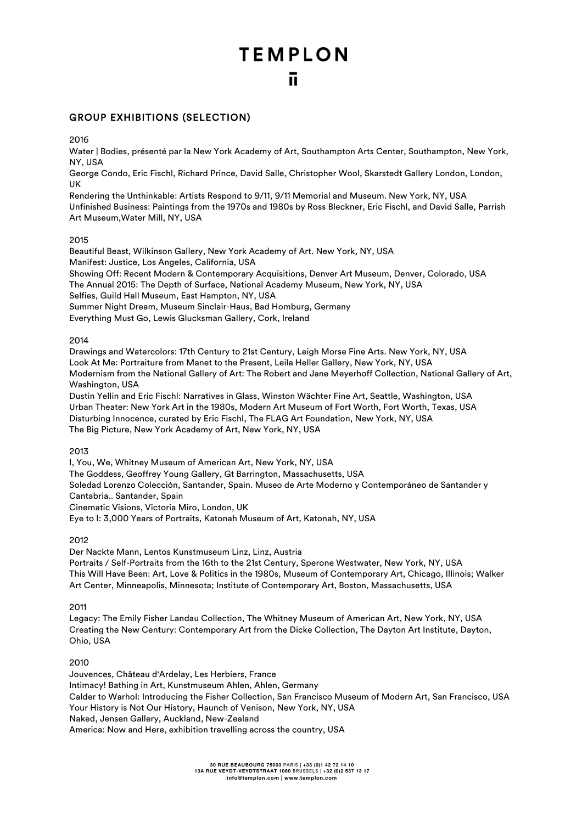# **TEMPLON**

#### GROUP EXHIBITIONS (SELECTION)

2016

Water | Bodies, présenté par la New York Academy of Art, Southampton Arts Center, Southampton, New York, NY, USA

George Condo, Eric Fischl, Richard Prince, David Salle, Christopher Wool, Skarstedt Gallery London, London, UK

Rendering the Unthinkable: Artists Respond to 9/11, 9/11 Memorial and Museum. New York, NY, USA Unfinished Business: Paintings from the 1970s and 1980s by Ross Bleckner, Eric Fischl, and David Salle, Parrish Art Museum,Water Mill, NY, USA

#### 2015

Beautiful Beast, Wilkinson Gallery, New York Academy of Art. New York, NY, USA Manifest: Justice, Los Angeles, California, USA Showing Off: Recent Modern & Contemporary Acquisitions, Denver Art Museum, Denver, Colorado, USA The Annual 2015: The Depth of Surface, National Academy Museum, New York, NY, USA Selfies, Guild Hall Museum, East Hampton, NY, USA Summer Night Dream, Museum Sinclair-Haus, Bad Homburg, Germany Everything Must Go, Lewis Glucksman Gallery, Cork, Ireland

#### 2014

Drawings and Watercolors: 17th Century to 21st Century, Leigh Morse Fine Arts. New York, NY, USA Look At Me: Portraiture from Manet to the Present, Leila Heller Gallery, New York, NY, USA Modernism from the National Gallery of Art: The Robert and Jane Meyerhoff Collection, National Gallery of Art, Washington, USA

Dustin Yellin and Eric Fischl: Narratives in Glass, Winston Wächter Fine Art, Seattle, Washington, USA Urban Theater: New York Art in the 1980s, Modern Art Museum of Fort Worth, Fort Worth, Texas, USA Disturbing Innocence, curated by Eric Fischl, The FLAG Art Foundation, New York, NY, USA The Big Picture, New York Academy of Art, New York, NY, USA

#### 2013

I, You, We, Whitney Museum of American Art, New York, NY, USA

The Goddess, Geoffrey Young Gallery, Gt Barrington, Massachusetts, USA

Soledad Lorenzo Colección, Santander, Spain. Museo de Arte Moderno y Contemporáneo de Santander y Cantabria.. Santander, Spain

Cinematic Visions, Victoria Miro, London, UK

Eye to I: 3,000 Years of Portraits, Katonah Museum of Art, Katonah, NY, USA

#### 2012

Der Nackte Mann, Lentos Kunstmuseum Linz, Linz, Austria Portraits / Self-Portraits from the 16th to the 21st Century, Sperone Westwater, New York, NY, USA This Will Have Been: Art, Love & Politics in the 1980s, Museum of Contemporary Art, Chicago, Illinois; Walker Art Center, Minneapolis, Minnesota; Institute of Contemporary Art, Boston, Massachusetts, USA

#### 2011

Legacy: The Emily Fisher Landau Collection, The Whitney Museum of American Art, New York, NY, USA Creating the New Century: Contemporary Art from the Dicke Collection, The Dayton Art Institute, Dayton, Ohio, USA

#### 2010

Jouvences, Château d'Ardelay, Les Herbiers, France Intimacy! Bathing in Art, Kunstmuseum Ahlen, Ahlen, Germany Calder to Warhol: Introducing the Fisher Collection, San Francisco Museum of Modern Art, San Francisco, USA Your History is Not Our History, Haunch of Venison, New York, NY, USA Naked, Jensen Gallery, Auckland, New-Zealand America: Now and Here, exhibition travelling across the country, USA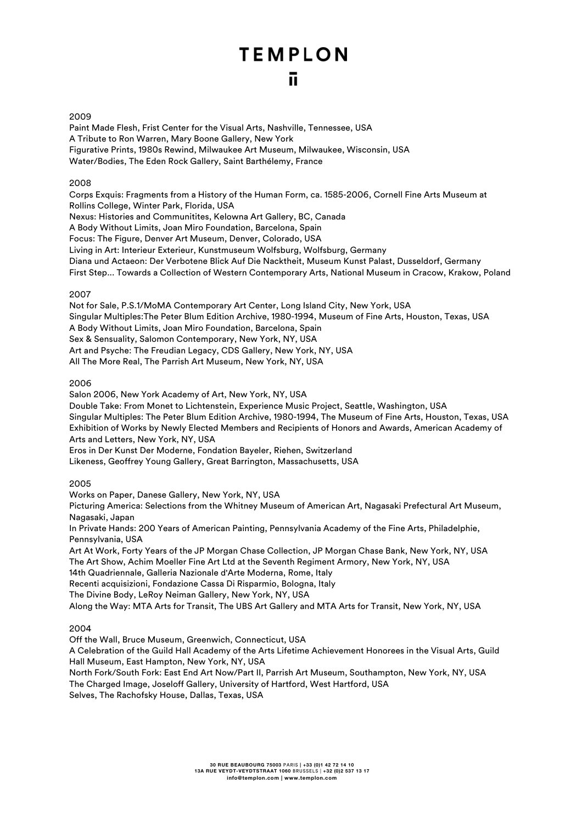# **TEMPLON**

#### 2009

Paint Made Flesh, Frist Center for the Visual Arts, Nashville, Tennessee, USA A Tribute to Ron Warren, Mary Boone Gallery, New York Figurative Prints, 1980s Rewind, Milwaukee Art Museum, Milwaukee, Wisconsin, USA Water/Bodies, The Eden Rock Gallery, Saint Barthélemy, France

#### 2008

Corps Exquis: Fragments from a History of the Human Form, ca. 1585-2006, Cornell Fine Arts Museum at Rollins College, Winter Park, Florida, USA Nexus: Histories and Communitites, Kelowna Art Gallery, BC, Canada A Body Without Limits, Joan Miro Foundation, Barcelona, Spain Focus: The Figure, Denver Art Museum, Denver, Colorado, USA Living in Art: Interieur Exterieur, Kunstmuseum Wolfsburg, Wolfsburg, Germany Diana und Actaeon: Der Verbotene Blick Auf Die Nacktheit, Museum Kunst Palast, Dusseldorf, Germany First Step... Towards a Collection of Western Contemporary Arts, National Museum in Cracow, Krakow, Poland

#### 2007

Not for Sale, P.S.1/MoMA Contemporary Art Center, Long Island City, New York, USA Singular Multiples:The Peter Blum Edition Archive, 1980-1994, Museum of Fine Arts, Houston, Texas, USA A Body Without Limits, Joan Miro Foundation, Barcelona, Spain Sex & Sensuality, Salomon Contemporary, New York, NY, USA Art and Psyche: The Freudian Legacy, CDS Gallery, New York, NY, USA All The More Real, The Parrish Art Museum, New York, NY, USA

#### 2006

Salon 2006, New York Academy of Art, New York, NY, USA Double Take: From Monet to Lichtenstein, Experience Music Project, Seattle, Washington, USA Singular Multiples: The Peter Blum Edition Archive, 1980-1994, The Museum of Fine Arts, Houston, Texas, USA Exhibition of Works by Newly Elected Members and Recipients of Honors and Awards, American Academy of Arts and Letters, New York, NY, USA

Eros in Der Kunst Der Moderne, Fondation Bayeler, Riehen, Switzerland

Likeness, Geoffrey Young Gallery, Great Barrington, Massachusetts, USA

#### 2005

Works on Paper, Danese Gallery, New York, NY, USA Picturing America: Selections from the Whitney Museum of American Art, Nagasaki Prefectural Art Museum,

Nagasaki, Japan

In Private Hands: 200 Years of American Painting, Pennsylvania Academy of the Fine Arts, Philadelphie, Pennsylvania, USA

Art At Work, Forty Years of the JP Morgan Chase Collection, JP Morgan Chase Bank, New York, NY, USA The Art Show, Achim Moeller Fine Art Ltd at the Seventh Regiment Armory, New York, NY, USA

14th Quadriennale, Galleria Nazionale d'Arte Moderna, Rome, Italy

Recenti acquisizioni, Fondazione Cassa Di Risparmio, Bologna, Italy

The Divine Body, LeRoy Neiman Gallery, New York, NY, USA

Along the Way: MTA Arts for Transit, The UBS Art Gallery and MTA Arts for Transit, New York, NY, USA

2004

Off the Wall, Bruce Museum, Greenwich, Connecticut, USA

A Celebration of the Guild Hall Academy of the Arts Lifetime Achievement Honorees in the Visual Arts, Guild Hall Museum, East Hampton, New York, NY, USA

North Fork/South Fork: East End Art Now/Part II, Parrish Art Museum, Southampton, New York, NY, USA The Charged Image, Joseloff Gallery, University of Hartford, West Hartford, USA Selves, The Rachofsky House, Dallas, Texas, USA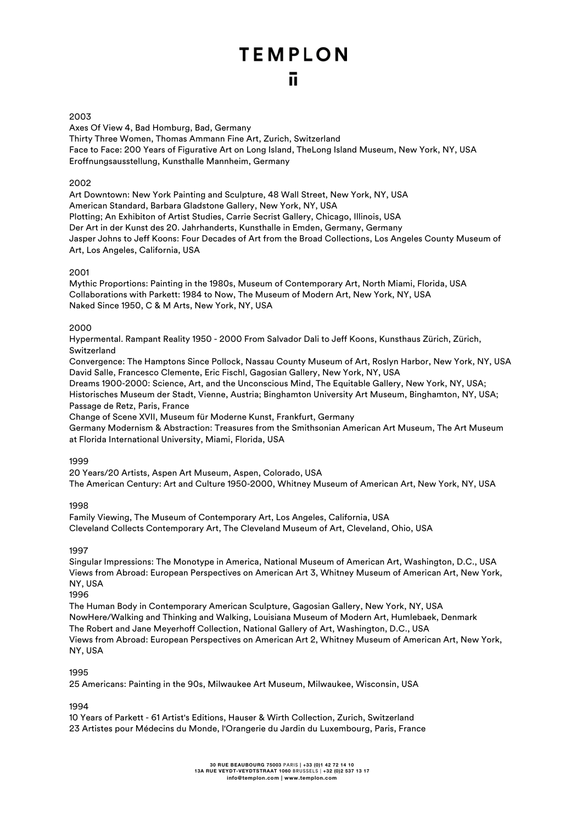#### 2003

Axes Of View 4, Bad Homburg, Bad, Germany Thirty Three Women, Thomas Ammann Fine Art, Zurich, Switzerland Face to Face: 200 Years of Figurative Art on Long Island, TheLong Island Museum, New York, NY, USA Eroffnungsausstellung, Kunsthalle Mannheim, Germany

#### 2002

Art Downtown: New York Painting and Sculpture, 48 Wall Street, New York, NY, USA American Standard, Barbara Gladstone Gallery, New York, NY, USA Plotting; An Exhibiton of Artist Studies, Carrie Secrist Gallery, Chicago, Illinois, USA Der Art in der Kunst des 20. Jahrhanderts, Kunsthalle in Emden, Germany, Germany Jasper Johns to Jeff Koons: Four Decades of Art from the Broad Collections, Los Angeles County Museum of Art, Los Angeles, California, USA

#### 2001

Mythic Proportions: Painting in the 1980s, Museum of Contemporary Art, North Miami, Florida, USA Collaborations with Parkett: 1984 to Now, The Museum of Modern Art, New York, NY, USA Naked Since 1950, C & M Arts, New York, NY, USA

#### 2000

Hypermental. Rampant Reality 1950 - 2000 From Salvador Dali to Jeff Koons, Kunsthaus Zürich, Zürich, Switzerland

Convergence: The Hamptons Since Pollock, Nassau County Museum of Art, Roslyn Harbor, New York, NY, USA David Salle, Francesco Clemente, Eric Fischl, Gagosian Gallery, New York, NY, USA

Dreams 1900-2000: Science, Art, and the Unconscious Mind, The Equitable Gallery, New York, NY, USA; Historisches Museum der Stadt, Vienne, Austria; Binghamton University Art Museum, Binghamton, NY, USA; Passage de Retz, Paris, France

Change of Scene XVII, Museum für Moderne Kunst, Frankfurt, Germany

Germany Modernism & Abstraction: Treasures from the Smithsonian American Art Museum, The Art Museum at Florida International University, Miami, Florida, USA

1999

20 Years/20 Artists, Aspen Art Museum, Aspen, Colorado, USA The American Century: Art and Culture 1950-2000, Whitney Museum of American Art, New York, NY, USA

1998

Family Viewing, The Museum of Contemporary Art, Los Angeles, California, USA Cleveland Collects Contemporary Art, The Cleveland Museum of Art, Cleveland, Ohio, USA

#### 1997

Singular Impressions: The Monotype in America, National Museum of American Art, Washington, D.C., USA Views from Abroad: European Perspectives on American Art 3, Whitney Museum of American Art, New York, NY, USA

1996

The Human Body in Contemporary American Sculpture, Gagosian Gallery, New York, NY, USA NowHere/Walking and Thinking and Walking, Louisiana Museum of Modern Art, Humlebaek, Denmark The Robert and Jane Meyerhoff Collection, National Gallery of Art, Washington, D.C., USA Views from Abroad: European Perspectives on American Art 2, Whitney Museum of American Art, New York, NY, USA

#### 1995

25 Americans: Painting in the 90s, Milwaukee Art Museum, Milwaukee, Wisconsin, USA

1994

10 Years of Parkett - 61 Artist's Editions, Hauser & Wirth Collection, Zurich, Switzerland 23 Artistes pour Médecins du Monde, l'Orangerie du Jardin du Luxembourg, Paris, France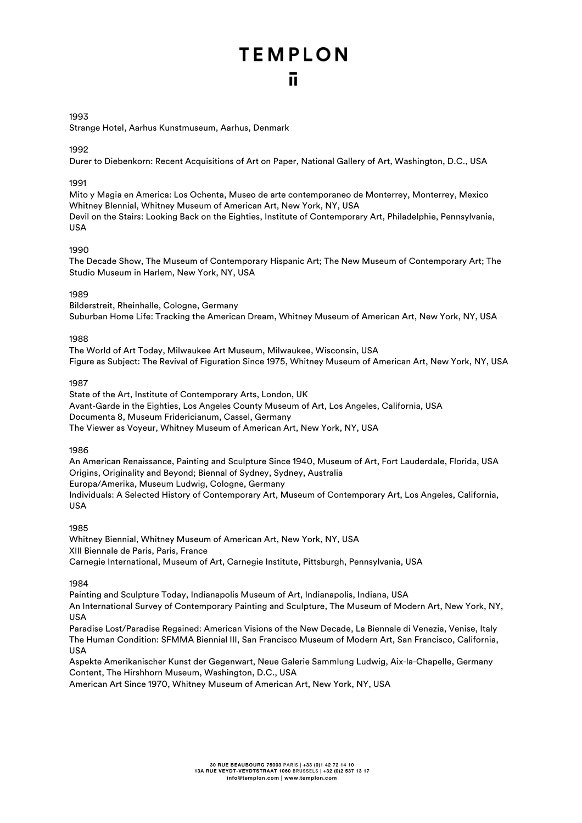#### 1993

Strange Hotel, Aarhus Kunstmuseum, Aarhus, Denmark

#### 1992

Durer to Diebenkorn: Recent Acquisitions of Art on Paper, National Gallery of Art, Washington, D.C., USA

#### 1991

Mito y Magia en America: Los Ochenta, Museo de arte contemporaneo de Monterrey, Monterrey, Mexico Whitney BIennial, Whitney Museum of American Art, New York, NY, USA Devil on the Stairs: Looking Back on the Eighties, Institute of Contemporary Art, Philadelphie, Pennsylvania, USA

#### 1990

The Decade Show, The Museum of Contemporary Hispanic Art; The New Museum of Contemporary Art; The Studio Museum in Harlem, New York, NY, USA

#### 1989

Bilderstreit, Rheinhalle, Cologne, Germany Suburban Home Life: Tracking the American Dream, Whitney Museum of American Art, New York, NY, USA

#### 1988

The World of Art Today, Milwaukee Art Museum, Milwaukee, Wisconsin, USA Figure as Subject: The Revival of Figuration Since 1975, Whitney Museum of American Art, New York, NY, USA

#### 1987

State of the Art, Institute of Contemporary Arts, London, UK Avant-Garde in the Eighties, Los Angeles County Museum of Art, Los Angeles, California, USA Documenta 8, Museum Fridericianum, Cassel, Germany The Viewer as Voyeur, Whitney Museum of American Art, New York, NY, USA

#### 1986

An American Renaissance, Painting and Sculpture Since 1940, Museum of Art, Fort Lauderdale, Florida, USA Origins, Originality and Beyond; Biennal of Sydney, Sydney, Australia Europa/Amerika, Museum Ludwig, Cologne, Germany Individuals: A Selected History of Contemporary Art, Museum of Contemporary Art, Los Angeles, California, USA

#### 1985

Whitney Biennial, Whitney Museum of American Art, New York, NY, USA XIII Biennale de Paris, Paris, France Carnegie International, Museum of Art, Carnegie Institute, Pittsburgh, Pennsylvania, USA

#### 1984

Painting and Sculpture Today, Indianapolis Museum of Art, Indianapolis, Indiana, USA An International Survey of Contemporary Painting and Sculpture, The Museum of Modern Art, New York, NY, **IISA** 

Paradise Lost/Paradise Regained: American Visions of the New Decade, La Biennale di Venezia, Venise, Italy The Human Condition: SFMMA Biennial III, San Francisco Museum of Modern Art, San Francisco, California, USA

Aspekte Amerikanischer Kunst der Gegenwart, Neue Galerie Sammlung Ludwig, Aix-la-Chapelle, Germany Content, The Hirshhorn Museum, Washington, D.C., USA

American Art Since 1970, Whitney Museum of American Art, New York, NY, USA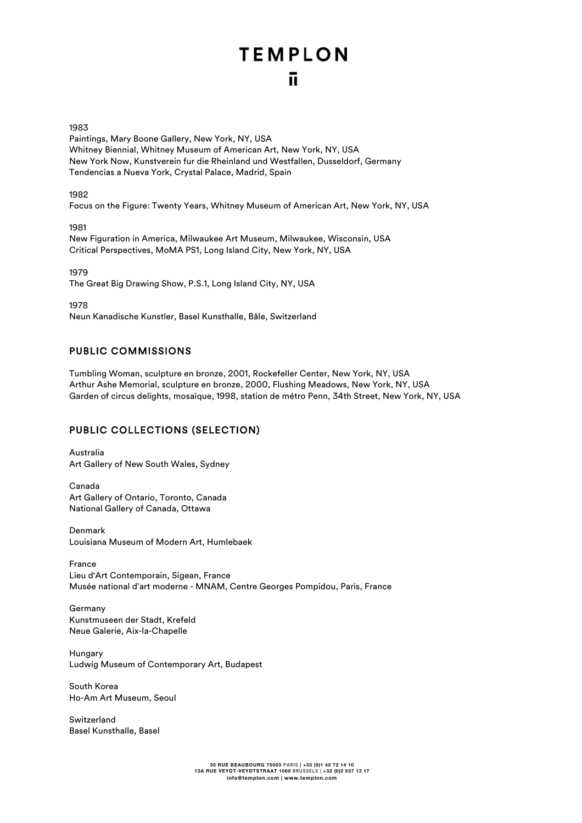1983

Paintings, Mary Boone Gallery, New York, NY, USA Whitney Biennial, Whitney Museum of American Art, New York, NY, USA New York Now, Kunstverein fur die Rheinland und Westfallen, Dusseldorf, Germany Tendencias a Nueva York, Crystal Palace, Madrid, Spain

1982

Focus on the Figure: Twenty Years, Whitney Museum of American Art, New York, NY, USA

1981

New Figuration in America, Milwaukee Art Museum, Milwaukee, Wisconsin, USA Critical Perspectives, MoMA PS1, Long Island City, New York, NY, USA

1979

The Great Big Drawing Show, P.S.1, Long Island City, NY, USA

1978

Neun Kanadische Kunstler, Basel Kunsthalle, Bâle, Switzerland

#### PUBLIC COMMISSIONS

Tumbling Woman, sculpture en bronze, 2001, Rockefeller Center, New York, NY, USA Arthur Ashe Memorial, sculpture en bronze, 2000, Flushing Meadows, New York, NY, USA Garden of circus delights, mosaïque, 1998, station de métro Penn, 34th Street, New York, NY, USA

#### PUBLIC COLLECTIONS (SELECTION)

Australia Art Gallery of New South Wales, Sydney

Canada Art Gallery of Ontario, Toronto, Canada National Gallery of Canada, Ottawa

Denmark Louisiana Museum of Modern Art, Humlebaek

France Lieu d'Art Contemporain, Sigean, France Musée national d'art moderne - MNAM, Centre Georges Pompidou, Paris, France

Germany Kunstmuseen der Stadt, Krefeld Neue Galerie, Aix-la-Chapelle

**Hungary** Ludwig Museum of Contemporary Art, Budapest

South Korea Ho-Am Art Museum, Seoul

Switzerland Basel Kunsthalle, Basel